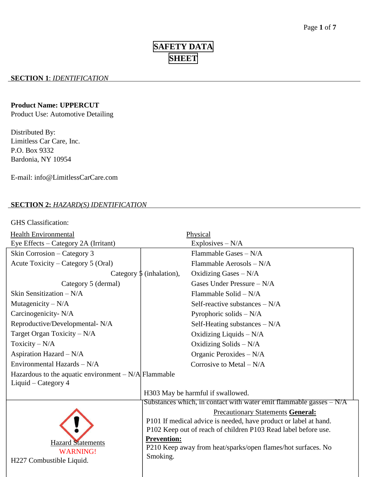# **SAFETY DATA SHEET**

### **SECTION 1**: *IDENTIFICATION*

#### **Product Name: UPPERCUT**

Product Use: Automotive Detailing

Distributed By: Limitless Car Care, Inc. P.O. Box 9332 Bardonia, NY 10954

E-mail: info@LimitlessCarCare.com

## **SECTION 2:** *HAZARD(S) IDENTIFICATION*

GHS Classification:

| <b>Health Environmental</b>                           |                                      | Physical                                                             |
|-------------------------------------------------------|--------------------------------------|----------------------------------------------------------------------|
| Eye Effects - Category 2A (Irritant)                  |                                      | Explosives $-N/A$                                                    |
| Skin Corrosion – Category 3                           |                                      | Flammable Gases - N/A                                                |
| Acute Toxicity – Category 5 (Oral)                    |                                      | Flammable Aerosols $-N/A$                                            |
|                                                       | Category $\frac{1}{2}$ (inhalation), | Oxidizing Gases $-N/A$                                               |
| Category 5 (dermal)                                   |                                      | Gases Under Pressure $-N/A$                                          |
| Skin Sensitization $-N/A$                             |                                      | Flammable Solid $-N/A$                                               |
| Mutagenicity $-N/A$                                   |                                      | Self-reactive substances $-N/A$                                      |
| Carcinogenicity- N/A                                  |                                      | Pyrophoric solids $-N/A$                                             |
| Reproductive/Developmental-N/A                        |                                      | Self-Heating substances $-N/A$                                       |
| Target Organ Toxicity - N/A                           |                                      | Oxidizing Liquids $-N/A$                                             |
| Toxicity $-N/A$                                       |                                      | Oxidizing Solids $-N/A$                                              |
| Aspiration Hazard $-N/A$                              |                                      | Organic Peroxides $-N/A$                                             |
| Environmental Hazards - N/A                           |                                      | Corrosive to Metal $-N/A$                                            |
| Hazardous to the aquatic environment $-N/A$ Flammable |                                      |                                                                      |
| Liquid – Category 4                                   |                                      |                                                                      |
|                                                       |                                      | H303 May be harmful if swallowed.                                    |
|                                                       |                                      | Substances which, in contact with water emit flammable gasses $-N/A$ |
|                                                       |                                      | <b>Precautionary Statements General:</b>                             |
|                                                       |                                      | P101 If medical advice is needed, have product or label at hand.     |
|                                                       |                                      | P102 Keep out of reach of children P103 Read label before use.       |
| <b>Hazard Statements</b>                              | <b>Prevention:</b>                   |                                                                      |
| <b>WARNING!</b>                                       |                                      | P210 Keep away from heat/sparks/open flames/hot surfaces. No         |
| H227 Combustible Liquid.                              | Smoking.                             |                                                                      |
|                                                       |                                      |                                                                      |
|                                                       |                                      |                                                                      |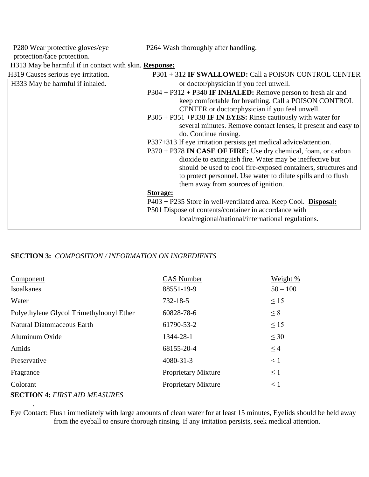P280 Wear protective gloves/eye protection/face protection.

P264 Wash thoroughly after handling.

H313 May be harmful if in contact with skin. **Response:**

| H319 Causes serious eye irritation. | P301 + 312 IF SWALLOWED: Call a POISON CONTROL CENTER             |
|-------------------------------------|-------------------------------------------------------------------|
| H333 May be harmful if inhaled.     | or doctor/physician if you feel unwell.                           |
|                                     | $P304 + P312 + P340$ IF INHALED: Remove person to fresh air and   |
|                                     | keep comfortable for breathing. Call a POISON CONTROL             |
|                                     | CENTER or doctor/physician if you feel unwell.                    |
|                                     | P305 + P351 + P338 IF IN EYES: Rinse cautiously with water for    |
|                                     | several minutes. Remove contact lenses, if present and easy to    |
|                                     | do. Continue rinsing.                                             |
|                                     | P337+313 If eye irritation persists get medical advice/attention. |
|                                     | P370 + P378 IN CASE OF FIRE: Use dry chemical, foam, or carbon    |
|                                     | dioxide to extinguish fire. Water may be ineffective but          |
|                                     | should be used to cool fire-exposed containers, structures and    |
|                                     | to protect personnel. Use water to dilute spills and to flush     |
|                                     | them away from sources of ignition.                               |
|                                     | <b>Storage:</b>                                                   |
|                                     | $P403 + P235$ Store in well-ventilated area. Keep Cool. Disposal: |
|                                     | P501 Dispose of contents/container in accordance with             |
|                                     | local/regional/national/international regulations.                |
|                                     |                                                                   |

# **SECTION 3:** *COMPOSITION / INFORMATION ON INGREDIENTS*

| Component                                                                                                                                                                                                                                                                                                                                                     | CAS Number                 | Weight %   |
|---------------------------------------------------------------------------------------------------------------------------------------------------------------------------------------------------------------------------------------------------------------------------------------------------------------------------------------------------------------|----------------------------|------------|
| Isoalkanes                                                                                                                                                                                                                                                                                                                                                    | 88551-19-9                 | $50 - 100$ |
| Water                                                                                                                                                                                                                                                                                                                                                         | $732 - 18 - 5$             | $\leq 15$  |
| Polyethylene Glycol Trimethylnonyl Ether                                                                                                                                                                                                                                                                                                                      | 60828-78-6                 | $\leq 8$   |
| <b>Natural Diatomaceous Earth</b>                                                                                                                                                                                                                                                                                                                             | 61790-53-2                 | $\leq$ 15  |
| Aluminum Oxide                                                                                                                                                                                                                                                                                                                                                | 1344-28-1                  | $\leq 30$  |
| Amids                                                                                                                                                                                                                                                                                                                                                         | 68155-20-4                 | $\leq$ 4   |
| Preservative                                                                                                                                                                                                                                                                                                                                                  | $4080 - 31 - 3$            | < 1        |
| Fragrance                                                                                                                                                                                                                                                                                                                                                     | <b>Proprietary Mixture</b> | $\leq$ 1   |
| Colorant                                                                                                                                                                                                                                                                                                                                                      | <b>Proprietary Mixture</b> | $\leq 1$   |
| $\alpha$ , $\alpha$ , $\alpha$ , $\alpha$ , $\alpha$ , $\alpha$ , $\alpha$ , $\alpha$ , $\alpha$ , $\alpha$ , $\alpha$ , $\alpha$ , $\alpha$ , $\alpha$ , $\alpha$ , $\alpha$ , $\alpha$ , $\alpha$ , $\alpha$ , $\alpha$ , $\alpha$ , $\alpha$ , $\alpha$ , $\alpha$ , $\alpha$ , $\alpha$ , $\alpha$ , $\alpha$ , $\alpha$ , $\alpha$ , $\alpha$ , $\alpha$ |                            |            |

**SECTION 4:** *FIRST AID MEASURES* 

.

Eye Contact: Flush immediately with large amounts of clean water for at least 15 minutes, Eyelids should be held away from the eyeball to ensure thorough rinsing. If any irritation persists, seek medical attention.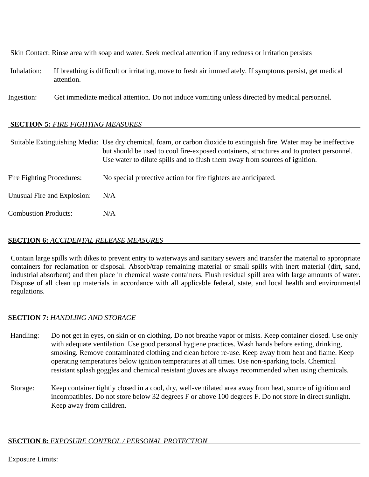Skin Contact: Rinse area with soap and water. Seek medical attention if any redness or irritation persists

- Inhalation: If breathing is difficult or irritating, move to fresh air immediately. If symptoms persist, get medical attention.
- Ingestion: Get immediate medical attention. Do not induce vomiting unless directed by medical personnel.

## **SECTION 5:** *FIRE FIGHTING MEASURES*

|                             | Suitable Extinguishing Media: Use dry chemical, foam, or carbon dioxide to extinguish fire. Water may be ineffective<br>but should be used to cool fire-exposed containers, structures and to protect personnel.<br>Use water to dilute spills and to flush them away from sources of ignition. |
|-----------------------------|-------------------------------------------------------------------------------------------------------------------------------------------------------------------------------------------------------------------------------------------------------------------------------------------------|
| Fire Fighting Procedures:   | No special protective action for fire fighters are anticipated.                                                                                                                                                                                                                                 |
| Unusual Fire and Explosion: | N/A                                                                                                                                                                                                                                                                                             |
| <b>Combustion Products:</b> | N/A                                                                                                                                                                                                                                                                                             |

### **SECTION 6:** *ACCIDENTAL RELEASE MEASURES*

Contain large spills with dikes to prevent entry to waterways and sanitary sewers and transfer the material to appropriate containers for reclamation or disposal. Absorb/trap remaining material or small spills with inert material (dirt, sand, industrial absorbent) and then place in chemical waste containers. Flush residual spill area with large amounts of water. Dispose of all clean up materials in accordance with all applicable federal, state, and local health and environmental regulations.

#### **SECTION 7:** *HANDLING AND STORAGE*

- Handling: Do not get in eyes, on skin or on clothing. Do not breathe vapor or mists. Keep container closed. Use only with adequate ventilation. Use good personal hygiene practices. Wash hands before eating, drinking, smoking. Remove contaminated clothing and clean before re-use. Keep away from heat and flame. Keep operating temperatures below ignition temperatures at all times. Use non-sparking tools. Chemical resistant splash goggles and chemical resistant gloves are always recommended when using chemicals.
- Storage: Keep container tightly closed in a cool, dry, well-ventilated area away from heat, source of ignition and incompatibles. Do not store below 32 degrees F or above 100 degrees F. Do not store in direct sunlight. Keep away from children.

## **SECTION 8:** *EXPOSURE CONTROL / PERSONAL PROTECTION*

Exposure Limits: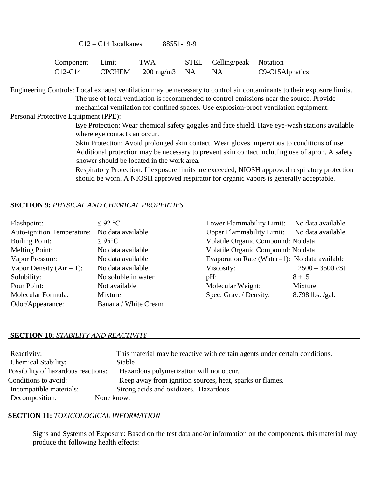C12 – C14 Isoalkanes 88551-19-9

| Component   Limit                        | <b>TWA</b>                                   | STEL   Celling/peak   Notation |                        |
|------------------------------------------|----------------------------------------------|--------------------------------|------------------------|
| $\vert$ C <sub>12</sub> -C <sub>14</sub> | $\vert$ CPCHEM $\vert$ 1200 mg/m3 $\vert$ NA | <b>NA</b>                      | $\sim$ C9-C15Alphatics |

Engineering Controls: Local exhaust ventilation may be necessary to control air contaminants to their exposure limits. The use of local ventilation is recommended to control emissions near the source. Provide mechanical ventilation for confined spaces. Use explosion-proof ventilation equipment.

Personal Protective Equipment (PPE):

Eye Protection: Wear chemical safety goggles and face shield. Have eye-wash stations available where eye contact can occur.

Skin Protection: Avoid prolonged skin contact. Wear gloves impervious to conditions of use. Additional protection may be necessary to prevent skin contact including use of apron. A safety shower should be located in the work area.

Respiratory Protection: If exposure limits are exceeded, NIOSH approved respiratory protection should be worn. A NIOSH approved respirator for organic vapors is generally acceptable.

#### **SECTION 9:** *PHYSICAL AND CHEMICAL PROPERTIES*

| Flashpoint:                       | $<$ 92 °C            | Lower Flammability Limit:                     | No data available |
|-----------------------------------|----------------------|-----------------------------------------------|-------------------|
| <b>Auto-ignition Temperature:</b> | No data available    | <b>Upper Flammability Limit:</b>              | No data available |
| <b>Boiling Point:</b>             | $>95^{\circ}$ C      | Volatile Organic Compound: No data            |                   |
| Melting Point:                    | No data available    | Volatile Organic Compound: No data            |                   |
| Vapor Pressure:                   | No data available    | Evaporation Rate (Water=1): No data available |                   |
| Vapor Density ( $Air = 1$ ):      | No data available    | Viscosity:                                    | $2500 - 3500$ cSt |
| Solubility:                       | No soluble in water  | $pH$ :                                        | $8 \pm .5$        |
| Pour Point:                       | Not available        | Molecular Weight:                             | Mixture           |
| Molecular Formula:                | Mixture              | Spec. Grav. / Density:                        | 8.798 lbs. /gal.  |
| Odor/Appearance:                  | Banana / White Cream |                                               |                   |

#### **SECTION 10:** *STABILITY AND REACTIVITY*

| Reactivity:                         | This material may be reactive with certain agents under certain conditions. |
|-------------------------------------|-----------------------------------------------------------------------------|
| <b>Chemical Stability:</b>          | Stable                                                                      |
| Possibility of hazardous reactions: | Hazardous polymerization will not occur.                                    |
| Conditions to avoid:                | Keep away from ignition sources, heat, sparks or flames.                    |
| Incompatible materials:             | Strong acids and oxidizers. Hazardous                                       |
| Decomposition:                      | None know.                                                                  |

#### **SECTION 11:** *TOXICOLOGICAL INFORMATION*

Signs and Systems of Exposure: Based on the test data and/or information on the components, this material may produce the following health effects: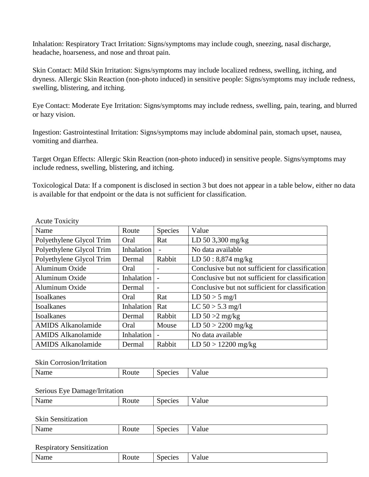Inhalation: Respiratory Tract Irritation: Signs/symptoms may include cough, sneezing, nasal discharge, headache, hoarseness, and nose and throat pain.

Skin Contact: Mild Skin Irritation: Signs/symptoms may include localized redness, swelling, itching, and dryness. Allergic Skin Reaction (non-photo induced) in sensitive people: Signs/symptoms may include redness, swelling, blistering, and itching.

Eye Contact: Moderate Eye Irritation: Signs/symptoms may include redness, swelling, pain, tearing, and blurred or hazy vision.

Ingestion: Gastrointestinal Irritation: Signs/symptoms may include abdominal pain, stomach upset, nausea, vomiting and diarrhea.

Target Organ Effects: Allergic Skin Reaction (non-photo induced) in sensitive people. Signs/symptoms may include redness, swelling, blistering, and itching.

Toxicological Data: If a component is disclosed in section 3 but does not appear in a table below, either no data is available for that endpoint or the data is not sufficient for classification.

| Name                      | Route             | Species                  | Value                                            |
|---------------------------|-------------------|--------------------------|--------------------------------------------------|
| Polyethylene Glycol Trim  | Oral              | Rat                      | LD 50 3,300 mg/kg                                |
| Polyethylene Glycol Trim  | Inhalation        |                          | No data available                                |
| Polyethylene Glycol Trim  | Dermal            | Rabbit                   | LD 50: 8,874 mg/kg                               |
| Aluminum Oxide            | Oral              |                          | Conclusive but not sufficient for classification |
| Aluminum Oxide            | <b>Inhalation</b> |                          | Conclusive but not sufficient for classification |
| Aluminum Oxide            | Dermal            |                          | Conclusive but not sufficient for classification |
| <b>Isoalkanes</b>         | Oral              | Rat                      | LD $50 > 5$ mg/l                                 |
| <b>Isoalkanes</b>         | Inhalation        | Rat                      | LC $50 > 5.3$ mg/l                               |
| <b>Isoalkanes</b>         | Dermal            | Rabbit                   | LD $50 > 2$ mg/kg                                |
| <b>AMIDS</b> Alkanolamide | Oral              | Mouse                    | $LD 50 > 2200$ mg/kg                             |
| <b>AMIDS</b> Alkanolamide | <b>Inhalation</b> | $\overline{\phantom{0}}$ | No data available                                |
| <b>AMIDS</b> Alkanolamide | Dermal            | Rabbit                   | $LD 50 > 12200$ mg/kg                            |

Acute Toxicity

Skin Corrosion/Irritation

| Name                             | Route | Species        | Value |
|----------------------------------|-------|----------------|-------|
|                                  |       |                |       |
| Serious Eye Damage/Irritation    |       |                |       |
| Name                             | Route | <b>Species</b> | Value |
|                                  |       |                |       |
| <b>Skin Sensitization</b>        |       |                |       |
| Name                             | Route | Species        | Value |
|                                  |       |                |       |
| <b>Respiratory Sensitization</b> |       |                |       |

| Name | oute: | Species | - -<br>'alue |
|------|-------|---------|--------------|
|------|-------|---------|--------------|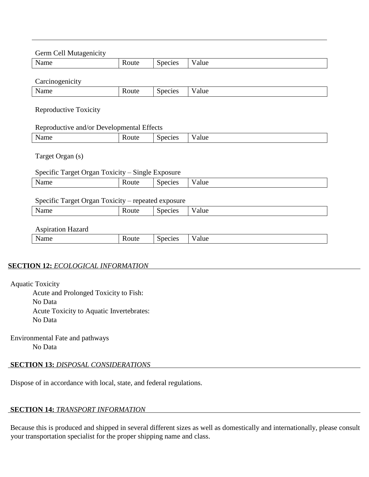| Name                                                                 | Route                                                       | Species | Value |  |
|----------------------------------------------------------------------|-------------------------------------------------------------|---------|-------|--|
| Carcinogenicity                                                      |                                                             |         |       |  |
| Name                                                                 | Route                                                       | Species | Value |  |
| <b>Reproductive Toxicity</b>                                         |                                                             |         |       |  |
|                                                                      | Reproductive and/or Developmental Effects                   |         |       |  |
| Name                                                                 | Route                                                       | Species | Value |  |
|                                                                      | Specific Target Organ Toxicity - Single Exposure<br>Route   | Species | Value |  |
|                                                                      |                                                             |         |       |  |
|                                                                      | Specific Target Organ Toxicity - repeated exposure<br>Route | Species | Value |  |
|                                                                      |                                                             |         |       |  |
| Target Organ (s)<br>Name<br>Name<br><b>Aspiration Hazard</b><br>Name | Route                                                       | Species | Value |  |

Acute and Prolonged Toxicity to Fish: No Data Acute Toxicity to Aquatic Invertebrates: No Data

Environmental Fate and pathways No Data

## **SECTION 13:** *DISPOSAL CONSIDERATIONS*

Dispose of in accordance with local, state, and federal regulations.

## **SECTION 14:** *TRANSPORT INFORMATION*

Because this is produced and shipped in several different sizes as well as domestically and internationally, please consult your transportation specialist for the proper shipping name and class.